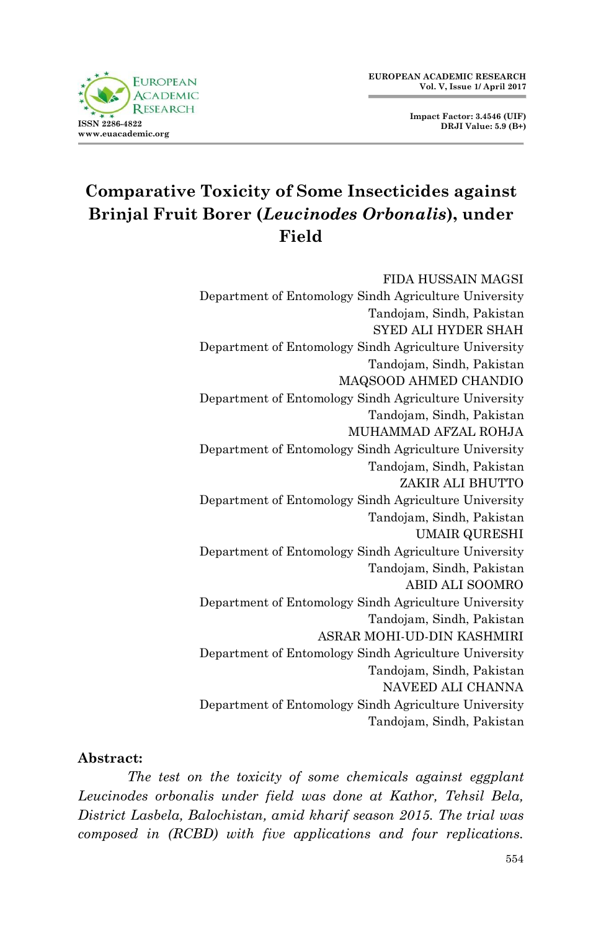



# **Comparative Toxicity of Some Insecticides against Brinjal Fruit Borer (***Leucinodes Orbonalis***), under Field**

FIDA HUSSAIN MAGSI Department of Entomology Sindh Agriculture University Tandojam, Sindh, Pakistan SYED ALI HYDER SHAH Department of Entomology Sindh Agriculture University Tandojam, Sindh, Pakistan MAQSOOD AHMED CHANDIO Department of Entomology Sindh Agriculture University Tandojam, Sindh, Pakistan MUHAMMAD AFZAL ROHJA Department of Entomology Sindh Agriculture University Tandojam, Sindh, Pakistan ZAKIR ALI BHUTTO Department of Entomology Sindh Agriculture University Tandojam, Sindh, Pakistan UMAIR QURESHI Department of Entomology Sindh Agriculture University Tandojam, Sindh, Pakistan ABID ALI SOOMRO Department of Entomology Sindh Agriculture University Tandojam, Sindh, Pakistan ASRAR MOHI-UD-DIN KASHMIRI Department of Entomology Sindh Agriculture University Tandojam, Sindh, Pakistan NAVEED ALI CHANNA Department of Entomology Sindh Agriculture University Tandojam, Sindh, Pakistan

#### **Abstract:**

*The test on the toxicity of some chemicals against eggplant Leucinodes orbonalis under field was done at Kathor, Tehsil Bela, District Lasbela, Balochistan, amid kharif season 2015. The trial was composed in (RCBD) with five applications and four replications.*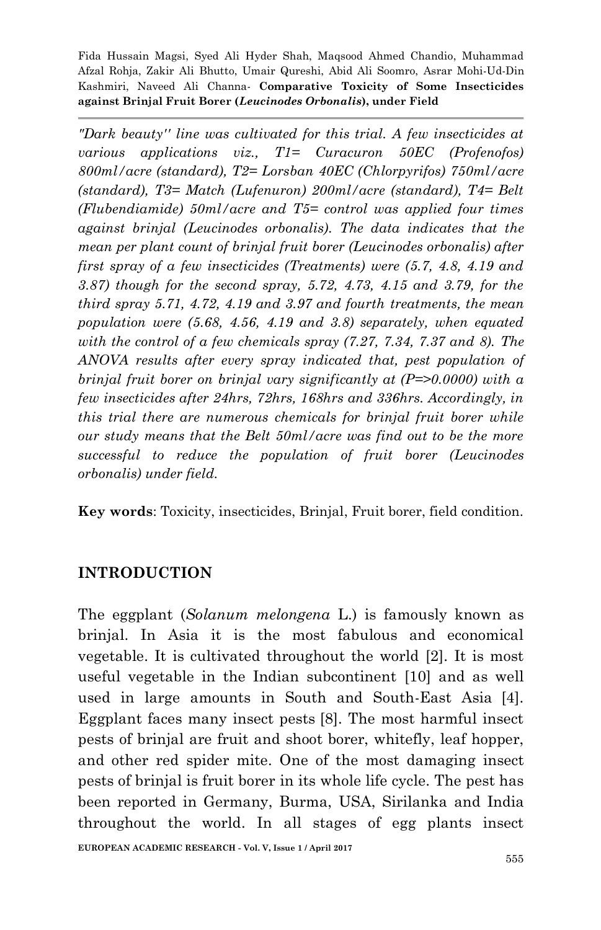*"Dark beauty'' line was cultivated for this trial. A few insecticides at various applications viz., T1= Curacuron 50EC (Profenofos) 800ml/acre (standard), T2= Lorsban 40EC (Chlorpyrifos) 750ml/acre (standard), T3= Match (Lufenuron) 200ml/acre (standard), T4= Belt (Flubendiamide) 50ml/acre and T5= control was applied four times against brinjal (Leucinodes orbonalis). The data indicates that the mean per plant count of brinjal fruit borer (Leucinodes orbonalis) after first spray of a few insecticides (Treatments) were (5.7, 4.8, 4.19 and 3.87) though for the second spray, 5.72, 4.73, 4.15 and 3.79, for the third spray 5.71, 4.72, 4.19 and 3.97 and fourth treatments, the mean population were (5.68, 4.56, 4.19 and 3.8) separately, when equated with the control of a few chemicals spray (7.27, 7.34, 7.37 and 8). The ANOVA results after every spray indicated that, pest population of brinjal fruit borer on brinjal vary significantly at (P=>0.0000) with a few insecticides after 24hrs, 72hrs, 168hrs and 336hrs. Accordingly, in this trial there are numerous chemicals for brinjal fruit borer while our study means that the Belt 50ml/acre was find out to be the more successful to reduce the population of fruit borer (Leucinodes orbonalis) under field.*

**Key words**: Toxicity, insecticides, Brinjal, Fruit borer, field condition.

### **INTRODUCTION**

The eggplant (*Solanum melongena* L.) is famously known as brinjal. In Asia it is the most fabulous and economical vegetable. It is cultivated throughout the world [2]. It is most useful vegetable in the Indian subcontinent [10] and as well used in large amounts in South and South-East Asia [4]. Eggplant faces many insect pests [8]. The most harmful insect pests of brinjal are fruit and shoot borer, whitefly, leaf hopper, and other red spider mite. One of the most damaging insect pests of brinjal is fruit borer in its whole life cycle. The pest has been reported in Germany, Burma, USA, Sirilanka and India throughout the world. In all stages of egg plants insect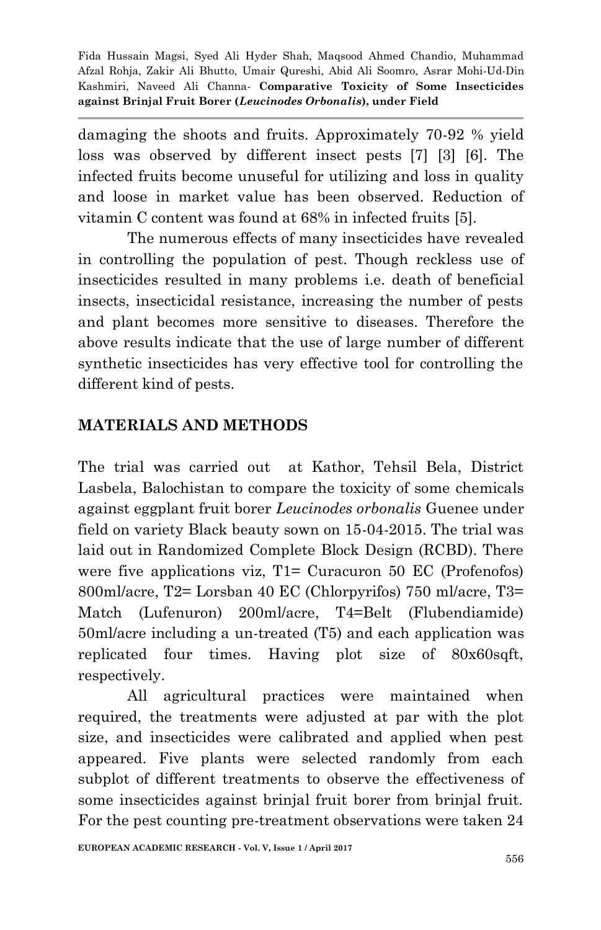damaging the shoots and fruits. Approximately 70-92 % yield loss was observed by different insect pests [7] [3] [6]. The infected fruits become unuseful for utilizing and loss in quality and loose in market value has been observed. Reduction of vitamin C content was found at 68% in infected fruits [5].

The numerous effects of many insecticides have revealed in controlling the population of pest. Though reckless use of insecticides resulted in many problems i.e. death of beneficial insects, insecticidal resistance, increasing the number of pests and plant becomes more sensitive to diseases. Therefore the above results indicate that the use of large number of different synthetic insecticides has very effective tool for controlling the different kind of pests.

### **MATERIALS AND METHODS**

The trial was carried out at Kathor, Tehsil Bela, District Lasbela, Balochistan to compare the toxicity of some chemicals against eggplant fruit borer *Leucinodes orbonalis* Guenee under field on variety Black beauty sown on 15-04-2015. The trial was laid out in Randomized Complete Block Design (RCBD). There were five applications viz, T1= Curacuron 50 EC (Profenofos) 800ml/acre, T2= Lorsban 40 EC (Chlorpyrifos) 750 ml/acre, T3= Match (Lufenuron) 200ml/acre, T4=Belt (Flubendiamide) 50ml/acre including a un-treated (T5) and each application was replicated four times. Having plot size of 80x60sqft, respectively.

All agricultural practices were maintained when required, the treatments were adjusted at par with the plot size, and insecticides were calibrated and applied when pest appeared. Five plants were selected randomly from each subplot of different treatments to observe the effectiveness of some insecticides against brinjal fruit borer from brinjal fruit. For the pest counting pre-treatment observations were taken 24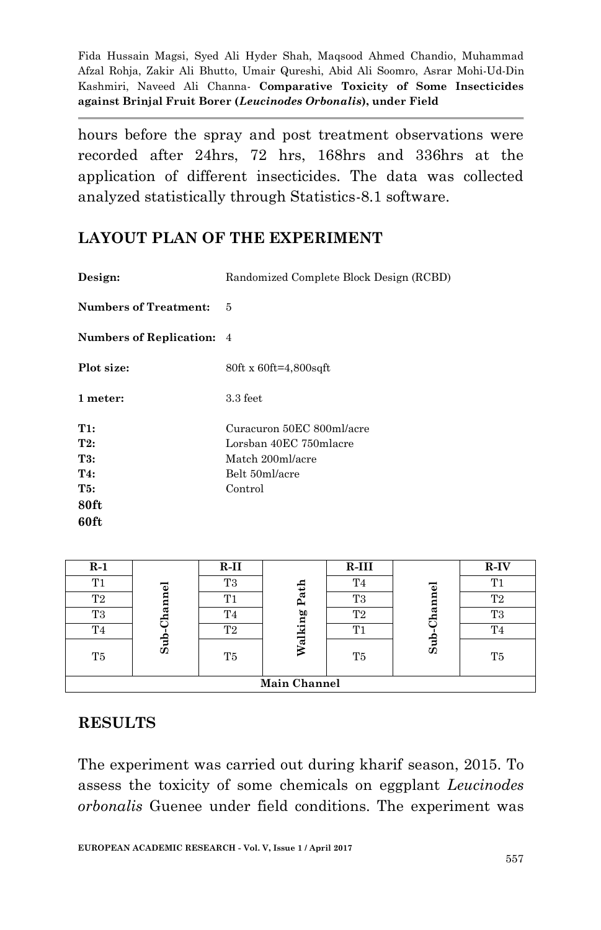hours before the spray and post treatment observations were recorded after 24hrs, 72 hrs, 168hrs and 336hrs at the application of different insecticides. The data was collected analyzed statistically through Statistics-8.1 software.

#### **LAYOUT PLAN OF THE EXPERIMENT**

| Design:                      | Randomized Complete Block Design (RCBD) |
|------------------------------|-----------------------------------------|
| <b>Numbers of Treatment:</b> | 5                                       |
| Numbers of Replication: 4    |                                         |
| Plot size:                   | 80ft x 60ft=4,800sqft                   |
| 1 meter:                     | $3.3 \text{ feet}$                      |
| T1:                          | Curacuron 50EC 800ml/acre               |
| T2:                          | Lorsban 40EC 750mlacre                  |
| T3:                          | Match 200ml/acre                        |
| T4:                          | Belt 50ml/acre                          |
| T5:                          | Control                                 |
| 80ft                         |                                         |
| 60ft                         |                                         |

| $R-1$               |          | $R-II$         |       | $R-III$        |        | R-IV           |  |
|---------------------|----------|----------------|-------|----------------|--------|----------------|--|
| T1                  |          | T3             |       | T <sub>4</sub> |        | T.             |  |
| T2                  | hannel   | T1             | Path  | T3             | hannel | T <sub>2</sub> |  |
| T <sub>3</sub>      |          | T4             | Ø0    | T2             |        | T3             |  |
| T4                  |          | T <sub>2</sub> | alkin | T1             |        | T <sub>4</sub> |  |
| T5                  | $\sin 8$ | T5             |       | T <sub>5</sub> | Sub    | T <sub>5</sub> |  |
| <b>Main Channel</b> |          |                |       |                |        |                |  |

#### **RESULTS**

The experiment was carried out during kharif season, 2015. To assess the toxicity of some chemicals on eggplant *Leucinodes orbonalis* Guenee under field conditions. The experiment was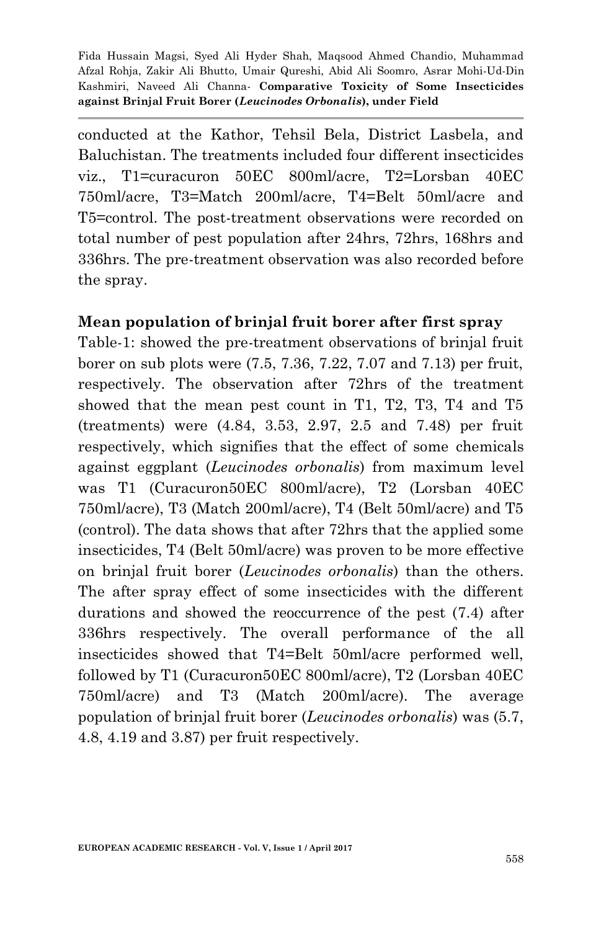conducted at the Kathor, Tehsil Bela, District Lasbela, and Baluchistan. The treatments included four different insecticides viz., T1=curacuron 50EC 800ml/acre, T2=Lorsban 40EC 750ml/acre, T3=Match 200ml/acre, T4=Belt 50ml/acre and T5=control. The post-treatment observations were recorded on total number of pest population after 24hrs, 72hrs, 168hrs and 336hrs. The pre-treatment observation was also recorded before the spray.

### **Mean population of brinjal fruit borer after first spray**

Table-1: showed the pre-treatment observations of brinjal fruit borer on sub plots were (7.5, 7.36, 7.22, 7.07 and 7.13) per fruit, respectively. The observation after 72hrs of the treatment showed that the mean pest count in T1, T2, T3, T4 and T5 (treatments) were (4.84, 3.53, 2.97, 2.5 and 7.48) per fruit respectively, which signifies that the effect of some chemicals against eggplant (*Leucinodes orbonalis*) from maximum level was T1 (Curacuron50EC 800ml/acre), T2 (Lorsban 40EC 750ml/acre), T3 (Match 200ml/acre), T4 (Belt 50ml/acre) and T5 (control). The data shows that after 72hrs that the applied some insecticides, T4 (Belt 50ml/acre) was proven to be more effective on brinjal fruit borer (*Leucinodes orbonalis*) than the others. The after spray effect of some insecticides with the different durations and showed the reoccurrence of the pest (7.4) after 336hrs respectively. The overall performance of the all insecticides showed that T4=Belt 50ml/acre performed well, followed by T1 (Curacuron50EC 800ml/acre), T2 (Lorsban 40EC 750ml/acre) and T3 (Match 200ml/acre). The average population of brinjal fruit borer (*Leucinodes orbonalis*) was (5.7, 4.8, 4.19 and 3.87) per fruit respectively.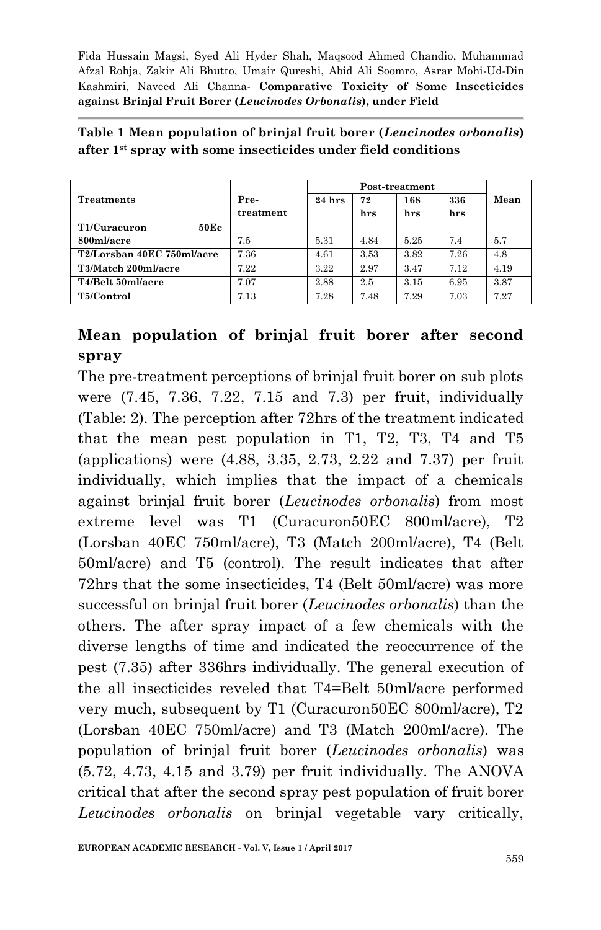| <b>Treatments</b>          | Pre-      | $24$ hrs | 72   | 168  | 336  | Mean |
|----------------------------|-----------|----------|------|------|------|------|
|                            | treatment |          | hrs  | hrs  | hrs  |      |
| 50Ec<br>T1/Curacuron       |           |          |      |      |      |      |
| 800ml/acre                 | 7.5       | 5.31     | 4.84 | 5.25 | 7.4  | 5.7  |
| T2/Lorsban 40EC 750ml/acre | 7.36      | 4.61     | 3.53 | 3.82 | 7.26 | 4.8  |
| T3/Match 200ml/acre        | 7.22      | 3.22     | 2.97 | 3.47 | 7.12 | 4.19 |
| T4/Belt 50ml/acre          | 7.07      | 2.88     | 2.5  | 3.15 | 6.95 | 3.87 |
| T5/Control                 | 7.13      | 7.28     | 7.48 | 7.29 | 7.03 | 7.27 |

**Table 1 Mean population of brinjal fruit borer (***Leucinodes orbonalis***) after 1st spray with some insecticides under field conditions**

## **Mean population of brinjal fruit borer after second spray**

The pre-treatment perceptions of brinjal fruit borer on sub plots were (7.45, 7.36, 7.22, 7.15 and 7.3) per fruit, individually (Table: 2). The perception after 72hrs of the treatment indicated that the mean pest population in T1, T2, T3, T4 and T5 (applications) were (4.88, 3.35, 2.73, 2.22 and 7.37) per fruit individually, which implies that the impact of a chemicals against brinjal fruit borer (*Leucinodes orbonalis*) from most extreme level was T1 (Curacuron50EC 800ml/acre), T2 (Lorsban 40EC 750ml/acre), T3 (Match 200ml/acre), T4 (Belt 50ml/acre) and T5 (control). The result indicates that after 72hrs that the some insecticides, T4 (Belt 50ml/acre) was more successful on brinjal fruit borer (*Leucinodes orbonalis*) than the others. The after spray impact of a few chemicals with the diverse lengths of time and indicated the reoccurrence of the pest (7.35) after 336hrs individually. The general execution of the all insecticides reveled that T4=Belt 50ml/acre performed very much, subsequent by T1 (Curacuron50EC 800ml/acre), T2 (Lorsban 40EC 750ml/acre) and T3 (Match 200ml/acre). The population of brinjal fruit borer (*Leucinodes orbonalis*) was (5.72, 4.73, 4.15 and 3.79) per fruit individually. The ANOVA critical that after the second spray pest population of fruit borer *Leucinodes orbonalis* on brinjal vegetable vary critically,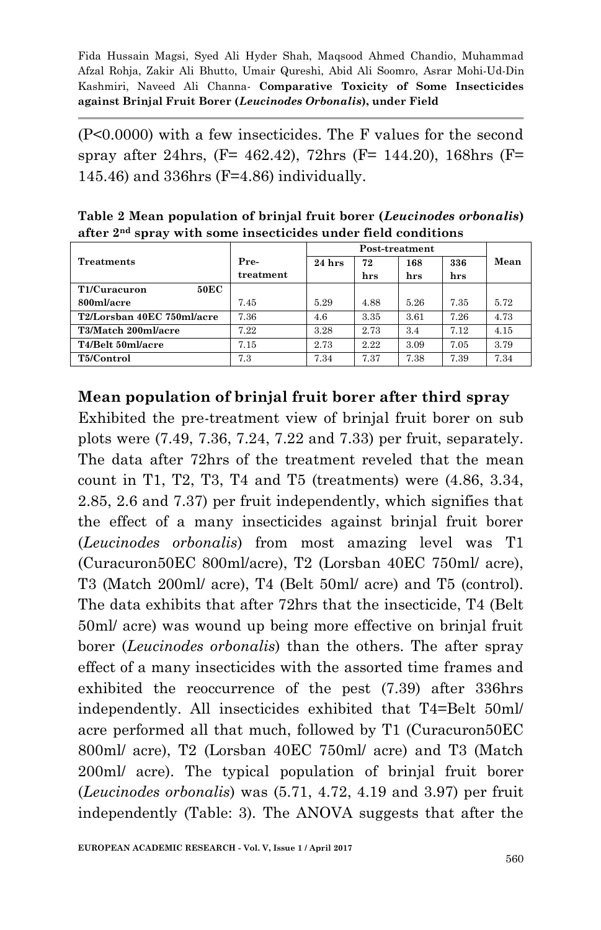(P<0.0000) with a few insecticides. The F values for the second spray after 24hrs, (F= 462.42), 72hrs (F= 144.20), 168hrs (F= 145.46) and 336hrs (F=4.86) individually.

**Table 2 Mean population of brinjal fruit borer (***Leucinodes orbonalis***) after 2 nd spray with some insecticides under field conditions**

| <b>Treatments</b>           | Pre-      | $24$ hrs | 72   | 168  | 336  | Mean |
|-----------------------------|-----------|----------|------|------|------|------|
|                             | treatment |          | hrs  | hrs  | hrs  |      |
| <b>50EC</b><br>T1/Curacuron |           |          |      |      |      |      |
| 800ml/acre                  | 7.45      | 5.29     | 4.88 | 5.26 | 7.35 | 5.72 |
| T2/Lorsban 40EC 750ml/acre  | 7.36      | 4.6      | 3.35 | 3.61 | 7.26 | 4.73 |
| T3/Match 200ml/acre         | 7.22      | 3.28     | 2.73 | 3.4  | 7.12 | 4.15 |
| T4/Belt 50ml/acre           | 7.15      | 2.73     | 2.22 | 3.09 | 7.05 | 3.79 |
| T5/Control                  | 7.3       | 7.34     | 7.37 | 7.38 | 7.39 | 7.34 |

### **Mean population of brinjal fruit borer after third spray**

Exhibited the pre-treatment view of brinjal fruit borer on sub plots were (7.49, 7.36, 7.24, 7.22 and 7.33) per fruit, separately. The data after 72hrs of the treatment reveled that the mean count in T1, T2, T3, T4 and T5 (treatments) were (4.86, 3.34, 2.85, 2.6 and 7.37) per fruit independently, which signifies that the effect of a many insecticides against brinjal fruit borer (*Leucinodes orbonalis*) from most amazing level was T1 (Curacuron50EC 800ml/acre), T2 (Lorsban 40EC 750ml/ acre), T3 (Match 200ml/ acre), T4 (Belt 50ml/ acre) and T5 (control). The data exhibits that after 72hrs that the insecticide, T4 (Belt 50ml/ acre) was wound up being more effective on brinjal fruit borer (*Leucinodes orbonalis*) than the others. The after spray effect of a many insecticides with the assorted time frames and exhibited the reoccurrence of the pest (7.39) after 336hrs independently. All insecticides exhibited that T4=Belt 50ml/ acre performed all that much, followed by T1 (Curacuron50EC 800ml/ acre), T2 (Lorsban 40EC 750ml/ acre) and T3 (Match 200ml/ acre). The typical population of brinjal fruit borer (*Leucinodes orbonalis*) was (5.71, 4.72, 4.19 and 3.97) per fruit independently (Table: 3). The ANOVA suggests that after the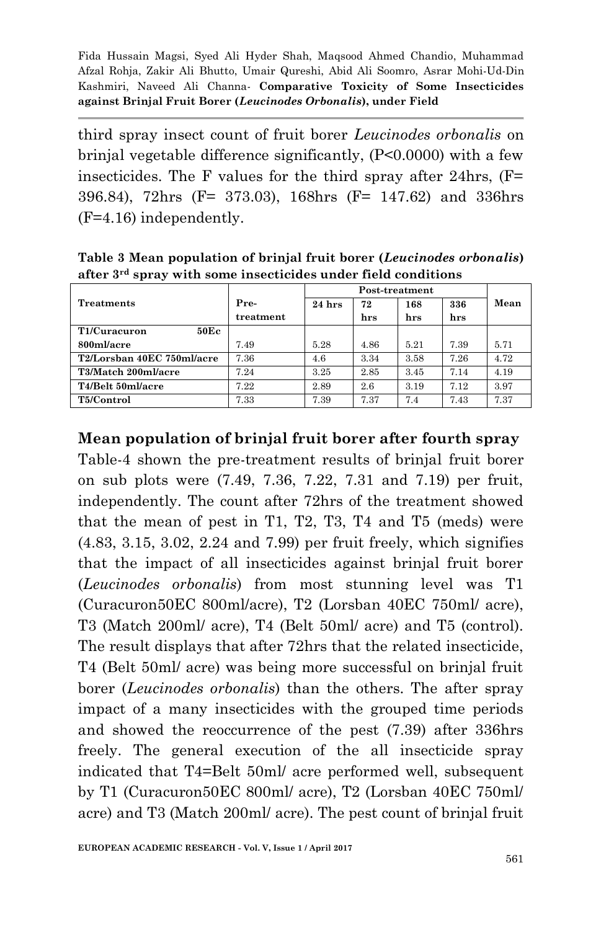third spray insect count of fruit borer *Leucinodes orbonalis* on brinjal vegetable difference significantly, (P<0.0000) with a few insecticides. The F values for the third spray after 24hrs, (F= 396.84), 72hrs (F= 373.03), 168hrs (F= 147.62) and 336hrs (F=4.16) independently.

**Table 3 Mean population of brinjal fruit borer (***Leucinodes orbonalis***) after 3rd spray with some insecticides under field conditions**

| Treatments                 | Pre-      | $24$ hrs | 72   | 168  | 336  | Mean |
|----------------------------|-----------|----------|------|------|------|------|
|                            | treatment |          | hrs  | hrs  | hrs  |      |
| 50Ec<br>T1/Curacuron       |           |          |      |      |      |      |
| 800ml/acre                 | 7.49      | 5.28     | 4.86 | 5.21 | 7.39 | 5.71 |
| T2/Lorsban 40EC 750ml/acre | 7.36      | 4.6      | 3.34 | 3.58 | 7.26 | 4.72 |
| T3/Match 200ml/acre        | 7.24      | 3.25     | 2.85 | 3.45 | 7.14 | 4.19 |
| T4/Belt 50ml/acre          | 7.22      | 2.89     | 2.6  | 3.19 | 7.12 | 3.97 |
| T5/Control                 | 7.33      | 7.39     | 7.37 | 7.4  | 7.43 | 7.37 |

**Mean population of brinjal fruit borer after fourth spray**

Table-4 shown the pre-treatment results of brinjal fruit borer on sub plots were (7.49, 7.36, 7.22, 7.31 and 7.19) per fruit, independently. The count after 72hrs of the treatment showed that the mean of pest in T1, T2, T3, T4 and T5 (meds) were (4.83, 3.15, 3.02, 2.24 and 7.99) per fruit freely, which signifies that the impact of all insecticides against brinjal fruit borer (*Leucinodes orbonalis*) from most stunning level was T1 (Curacuron50EC 800ml/acre), T2 (Lorsban 40EC 750ml/ acre), T3 (Match 200ml/ acre), T4 (Belt 50ml/ acre) and T5 (control). The result displays that after 72hrs that the related insecticide, T4 (Belt 50ml/ acre) was being more successful on brinjal fruit borer (*Leucinodes orbonalis*) than the others. The after spray impact of a many insecticides with the grouped time periods and showed the reoccurrence of the pest (7.39) after 336hrs freely. The general execution of the all insecticide spray indicated that T4=Belt 50ml/ acre performed well, subsequent by T1 (Curacuron50EC 800ml/ acre), T2 (Lorsban 40EC 750ml/ acre) and T3 (Match 200ml/ acre). The pest count of brinjal fruit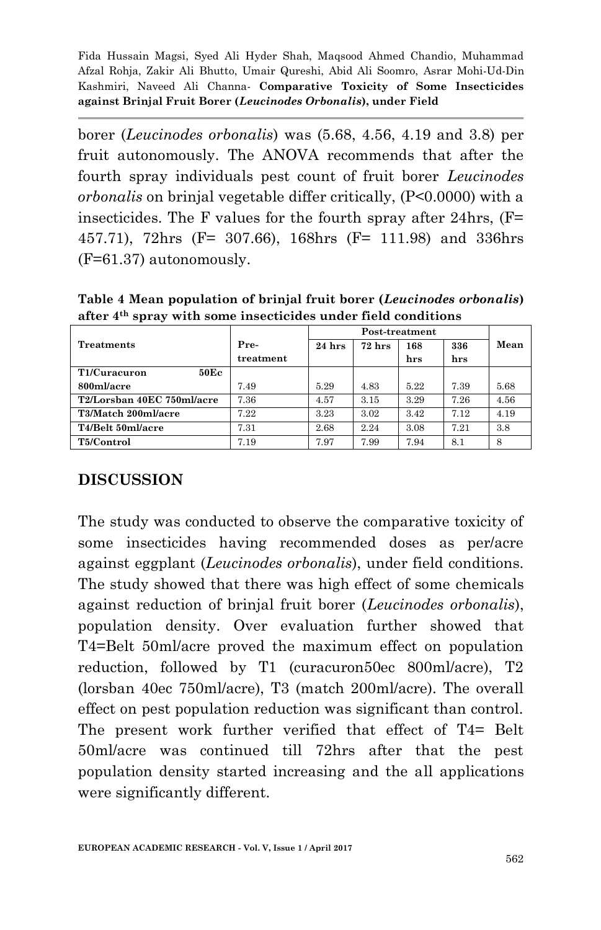borer (*Leucinodes orbonalis*) was (5.68, 4.56, 4.19 and 3.8) per fruit autonomously. The ANOVA recommends that after the fourth spray individuals pest count of fruit borer *Leucinodes orbonalis* on brinjal vegetable differ critically, (P<0.0000) with a insecticides. The F values for the fourth spray after 24hrs, (F= 457.71), 72hrs (F= 307.66), 168hrs (F= 111.98) and 336hrs (F=61.37) autonomously.

**Table 4 Mean population of brinjal fruit borer (***Leucinodes orbonalis***) after 4 th spray with some insecticides under field conditions**

| Treatments                 | Pre-      | $24$ hrs | $72 \ \mathrm{hrs}$ | 168  | 336  | Mean |
|----------------------------|-----------|----------|---------------------|------|------|------|
|                            | treatment |          |                     | hrs  | hrs  |      |
| T1/Curacuron<br>50Ec       |           |          |                     |      |      |      |
| 800ml/acre                 | 7.49      | 5.29     | 4.83                | 5.22 | 7.39 | 5.68 |
| T2/Lorsban 40EC 750ml/acre | 7.36      | 4.57     | 3.15                | 3.29 | 7.26 | 4.56 |
| T3/Match 200ml/acre        | 7.22      | 3.23     | 3.02                | 3.42 | 7.12 | 4.19 |
| T4/Belt 50ml/acre          | 7.31      | 2.68     | 2.24                | 3.08 | 7.21 | 3.8  |
| T5/Control                 | 7.19      | 7.97     | 7.99                | 7.94 | 8.1  | 8    |

### **DISCUSSION**

The study was conducted to observe the comparative toxicity of some insecticides having recommended doses as per/acre against eggplant (*Leucinodes orbonalis*), under field conditions. The study showed that there was high effect of some chemicals against reduction of brinjal fruit borer (*Leucinodes orbonalis*), population density. Over evaluation further showed that T4=Belt 50ml/acre proved the maximum effect on population reduction, followed by T1 (curacuron50ec 800ml/acre), T2 (lorsban 40ec 750ml/acre), T3 (match 200ml/acre). The overall effect on pest population reduction was significant than control. The present work further verified that effect of T4= Belt 50ml/acre was continued till 72hrs after that the pest population density started increasing and the all applications were significantly different.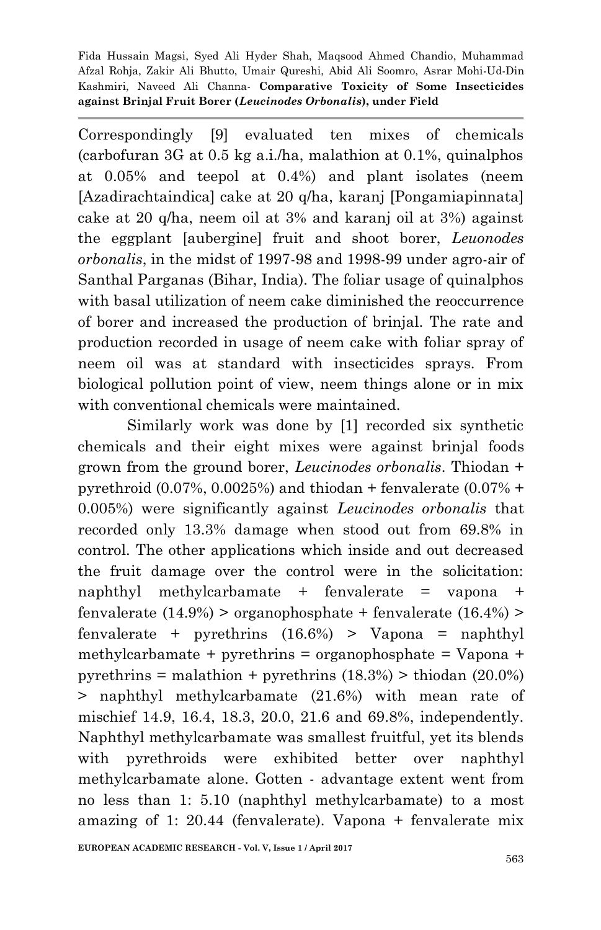Correspondingly [9] evaluated ten mixes of chemicals (carbofuran 3G at 0.5 kg a.i./ha, malathion at 0.1%, quinalphos at 0.05% and teepol at 0.4%) and plant isolates (neem [Azadirachtaindica] cake at 20 q/ha, karanj [Pongamiapinnata] cake at 20 q/ha, neem oil at 3% and karanj oil at 3%) against the eggplant [aubergine] fruit and shoot borer, *Leuonodes orbonalis*, in the midst of 1997-98 and 1998-99 under agro-air of Santhal Parganas (Bihar, India). The foliar usage of quinalphos with basal utilization of neem cake diminished the reoccurrence of borer and increased the production of brinjal. The rate and production recorded in usage of neem cake with foliar spray of neem oil was at standard with insecticides sprays. From biological pollution point of view, neem things alone or in mix with conventional chemicals were maintained.

Similarly work was done by [1] recorded six synthetic chemicals and their eight mixes were against brinjal foods grown from the ground borer, *Leucinodes orbonalis*. Thiodan + pyrethroid  $(0.07\%, 0.0025\%)$  and thiodan + fenvalerate  $(0.07\% +$ 0.005%) were significantly against *Leucinodes orbonalis* that recorded only 13.3% damage when stood out from 69.8% in control. The other applications which inside and out decreased the fruit damage over the control were in the solicitation: naphthyl methylcarbamate + fenvalerate = vapona + fenvalerate  $(14.9%)$  > organophosphate + fenvalerate  $(16.4%)$  > fenvalerate + pyrethrins  $(16.6%)$  > Vapona = naphthyl methylcarbamate + pyrethrins = organophosphate = Vapona + pyrethrins = malathion + pyrethrins  $(18.3%)$  > thiodan  $(20.0%)$ > naphthyl methylcarbamate (21.6%) with mean rate of mischief 14.9, 16.4, 18.3, 20.0, 21.6 and 69.8%, independently. Naphthyl methylcarbamate was smallest fruitful, yet its blends with pyrethroids were exhibited better over naphthyl methylcarbamate alone. Gotten - advantage extent went from no less than 1: 5.10 (naphthyl methylcarbamate) to a most amazing of 1: 20.44 (fenvalerate). Vapona + fenvalerate mix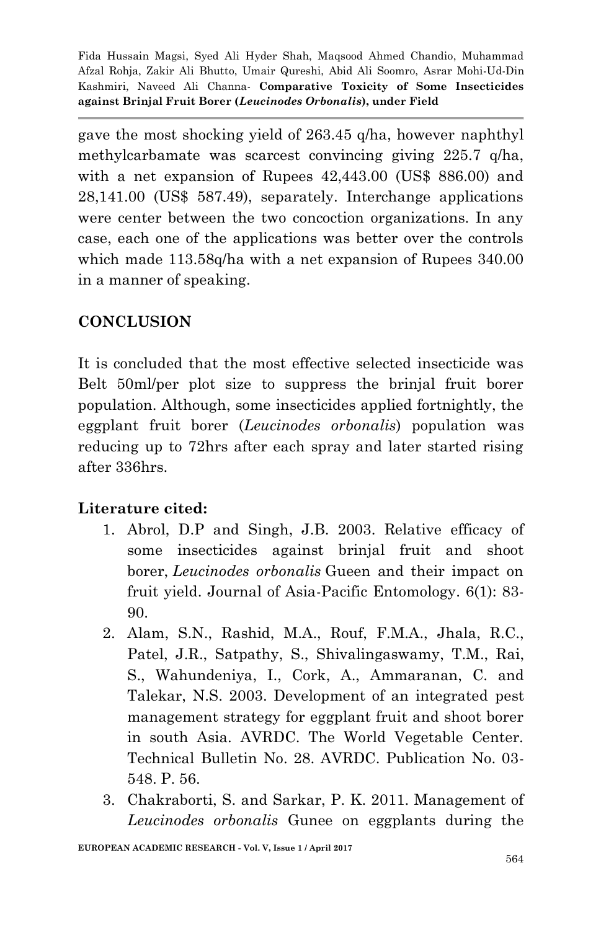gave the most shocking yield of 263.45 q/ha, however naphthyl methylcarbamate was scarcest convincing giving 225.7 q/ha, with a net expansion of Rupees 42,443.00 (US\$ 886.00) and 28,141.00 (US\$ 587.49), separately. Interchange applications were center between the two concoction organizations. In any case, each one of the applications was better over the controls which made 113.58q/ha with a net expansion of Rupees 340.00 in a manner of speaking.

## **CONCLUSION**

It is concluded that the most effective selected insecticide was Belt 50ml/per plot size to suppress the brinjal fruit borer population. Although, some insecticides applied fortnightly, the eggplant fruit borer (*Leucinodes orbonalis*) population was reducing up to 72hrs after each spray and later started rising after 336hrs.

### **Literature cited:**

- 1. Abrol, D.P and Singh, J.B. 2003. Relative efficacy of some insecticides against brinjal fruit and shoot borer, *Leucinodes orbonalis* Gueen and their impact on fruit yield. Journal of Asia-Pacific Entomology. 6(1): 83- 90.
- 2. Alam, S.N., Rashid, M.A., Rouf, F.M.A., Jhala, R.C., Patel, J.R., Satpathy, S., Shivalingaswamy, T.M., Rai, S., Wahundeniya, I., Cork, A., Ammaranan, C. and Talekar, N.S. 2003. Development of an integrated pest management strategy for eggplant fruit and shoot borer in south Asia. AVRDC. The World Vegetable Center. Technical Bulletin No. 28. AVRDC. Publication No. 03- 548. P. 56.
- 3. Chakraborti, S. and Sarkar, P. K. 2011. Management of *Leucinodes orbonalis* Gunee on eggplants during the